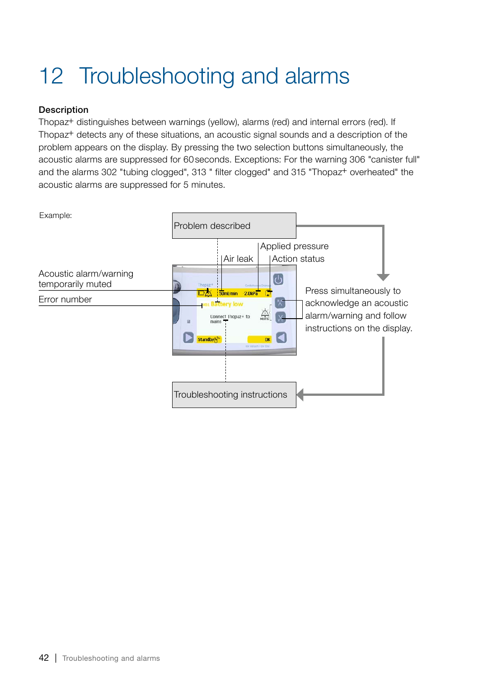## 12 Troubleshooting and alarms

## **Description**

Thopaz+ distinguishes between warnings (yellow), alarms (red) and internal errors (red). If Thopaz+ detects any of these situations, an acoustic signal sounds and a description of the problem appears on the display. By pressing the two selection buttons simultaneously, the acoustic alarms are suppressed for 60seconds. Exceptions: For the warning 306 "canister full" and the alarms 302 "tubing clogged", 313 " filter clogged" and 315 "Thopaz+ overheated" the acoustic alarms are suppressed for 5 minutes.